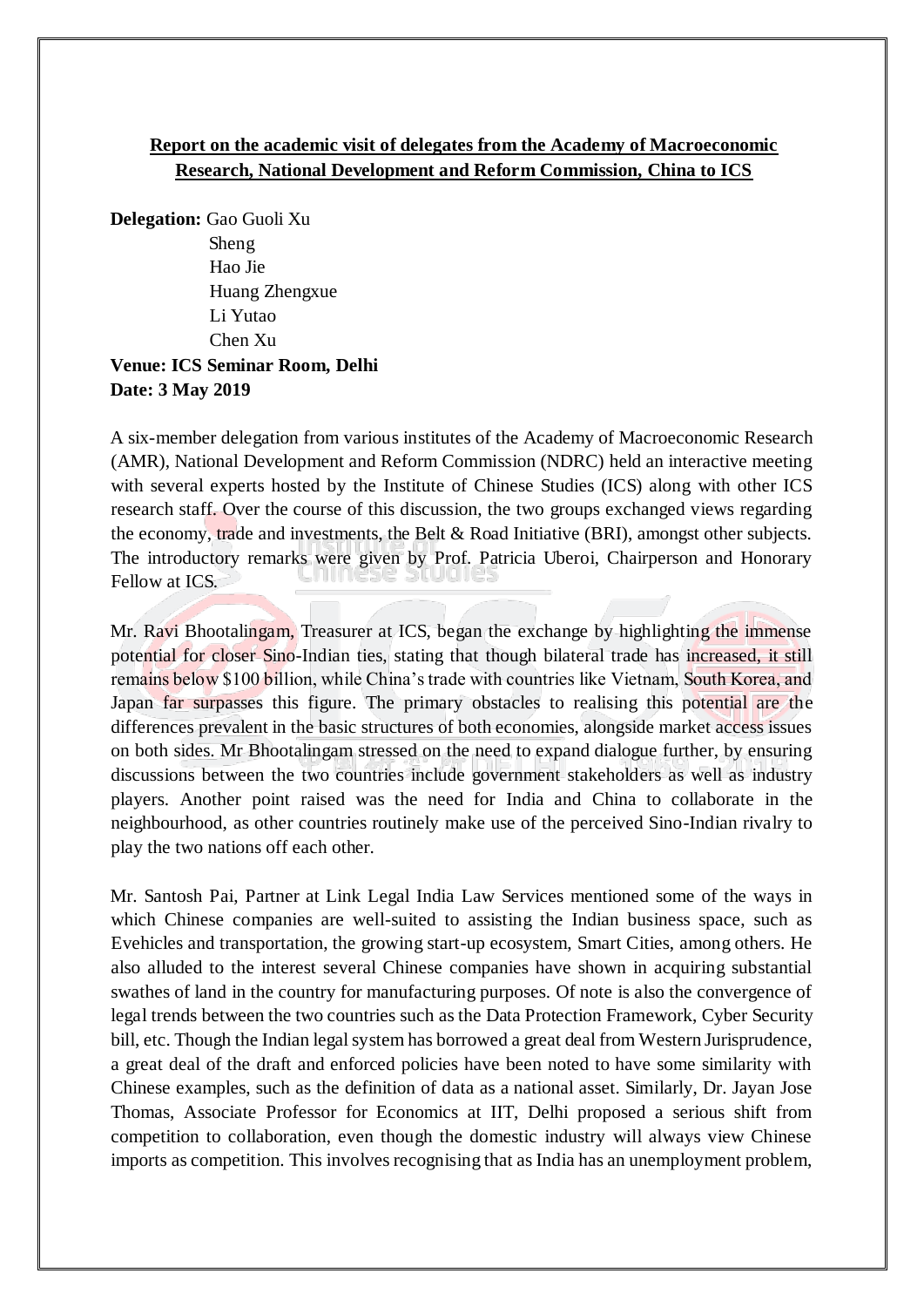## **Report on the academic visit of delegates from the Academy of Macroeconomic Research, National Development and Reform Commission, China to ICS**

**Delegation:** Gao Guoli Xu

Sheng Hao Jie Huang Zhengxue Li Yutao Chen Xu

## **Venue: ICS Seminar Room, Delhi Date: 3 May 2019**

A six-member delegation from various institutes of the Academy of Macroeconomic Research (AMR), National Development and Reform Commission (NDRC) held an interactive meeting with several experts hosted by the Institute of Chinese Studies (ICS) along with other ICS research staff. Over the course of this discussion, the two groups exchanged views regarding the economy, trade and investments, the Belt & Road Initiative (BRI), amongst other subjects. The introductory remarks were given by Prof. Patricia Uberoi, Chairperson and Honorary Fellow at ICS.

Mr. Ravi Bhootalingam, Treasurer at ICS, began the exchange by highlighting the immense potential for closer Sino-Indian ties, stating that though bilateral trade has increased, it still remains below \$100 billion, while China's trade with countries like Vietnam, South Korea, and Japan far surpasses this figure. The primary obstacles to realising this potential are the differences prevalent in the basic structures of both economies, alongside market access issues on both sides. Mr Bhootalingam stressed on the need to expand dialogue further, by ensuring discussions between the two countries include government stakeholders as well as industry players. Another point raised was the need for India and China to collaborate in the neighbourhood, as other countries routinely make use of the perceived Sino-Indian rivalry to play the two nations off each other.

Mr. Santosh Pai, Partner at Link Legal India Law Services mentioned some of the ways in which Chinese companies are well-suited to assisting the Indian business space, such as Evehicles and transportation, the growing start-up ecosystem, Smart Cities, among others. He also alluded to the interest several Chinese companies have shown in acquiring substantial swathes of land in the country for manufacturing purposes. Of note is also the convergence of legal trends between the two countries such as the Data Protection Framework, Cyber Security bill, etc. Though the Indian legal system has borrowed a great deal from Western Jurisprudence, a great deal of the draft and enforced policies have been noted to have some similarity with Chinese examples, such as the definition of data as a national asset. Similarly, Dr. Jayan Jose Thomas, Associate Professor for Economics at IIT, Delhi proposed a serious shift from competition to collaboration, even though the domestic industry will always view Chinese imports as competition. This involves recognising that as India has an unemployment problem,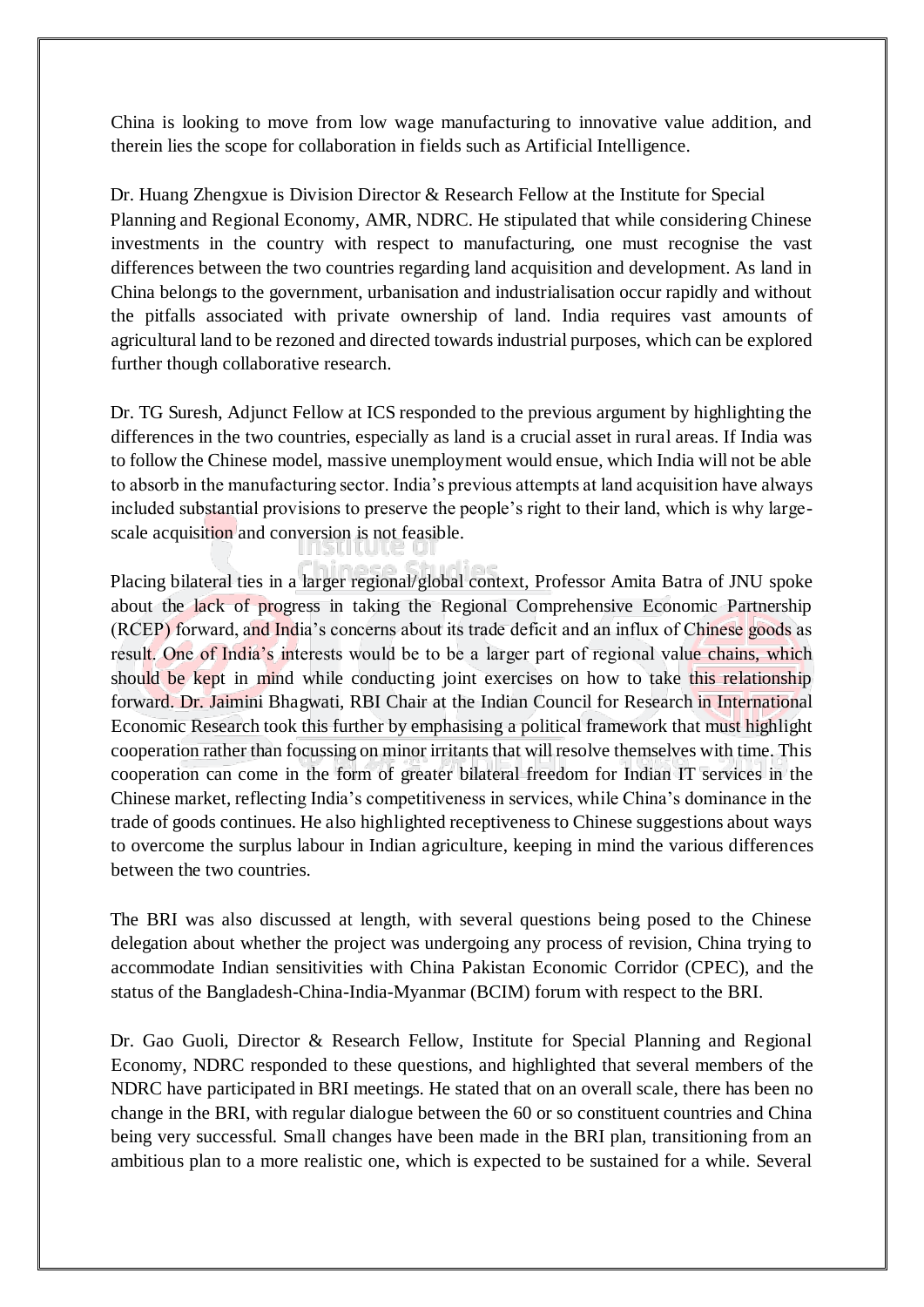China is looking to move from low wage manufacturing to innovative value addition, and therein lies the scope for collaboration in fields such as Artificial Intelligence.

Dr. Huang Zhengxue is Division Director & Research Fellow at the Institute for Special Planning and Regional Economy, AMR, NDRC. He stipulated that while considering Chinese investments in the country with respect to manufacturing, one must recognise the vast differences between the two countries regarding land acquisition and development. As land in China belongs to the government, urbanisation and industrialisation occur rapidly and without the pitfalls associated with private ownership of land. India requires vast amounts of agricultural land to be rezoned and directed towards industrial purposes, which can be explored further though collaborative research.

Dr. TG Suresh, Adjunct Fellow at ICS responded to the previous argument by highlighting the differences in the two countries, especially as land is a crucial asset in rural areas. If India was to follow the Chinese model, massive unemployment would ensue, which India will not be able to absorb in the manufacturing sector. India's previous attempts at land acquisition have always included substantial provisions to preserve the people's right to their land, which is why largescale acquisition and conversion is not feasible.

Placing bilateral ties in a larger regional/global context, Professor Amita Batra of JNU spoke about the lack of progress in taking the Regional Comprehensive Economic Partnership (RCEP) forward, and India's concerns about its trade deficit and an influx of Chinese goods as result. One of India's interests would be to be a larger part of regional value chains, which should be kept in mind while conducting joint exercises on how to take this relationship forward. Dr. Jaimini Bhagwati, RBI Chair at the Indian Council for Research in International Economic Research took this further by emphasising a political framework that must highlight cooperation rather than focussing on minor irritants that will resolve themselves with time. This cooperation can come in the form of greater bilateral freedom for Indian IT services in the Chinese market, reflecting India's competitiveness in services, while China's dominance in the trade of goods continues. He also highlighted receptiveness to Chinese suggestions about ways to overcome the surplus labour in Indian agriculture, keeping in mind the various differences between the two countries.

The BRI was also discussed at length, with several questions being posed to the Chinese delegation about whether the project was undergoing any process of revision, China trying to accommodate Indian sensitivities with China Pakistan Economic Corridor (CPEC), and the status of the Bangladesh-China-India-Myanmar (BCIM) forum with respect to the BRI.

Dr. Gao Guoli, Director & Research Fellow, Institute for Special Planning and Regional Economy, NDRC responded to these questions, and highlighted that several members of the NDRC have participated in BRI meetings. He stated that on an overall scale, there has been no change in the BRI, with regular dialogue between the 60 or so constituent countries and China being very successful. Small changes have been made in the BRI plan, transitioning from an ambitious plan to a more realistic one, which is expected to be sustained for a while. Several